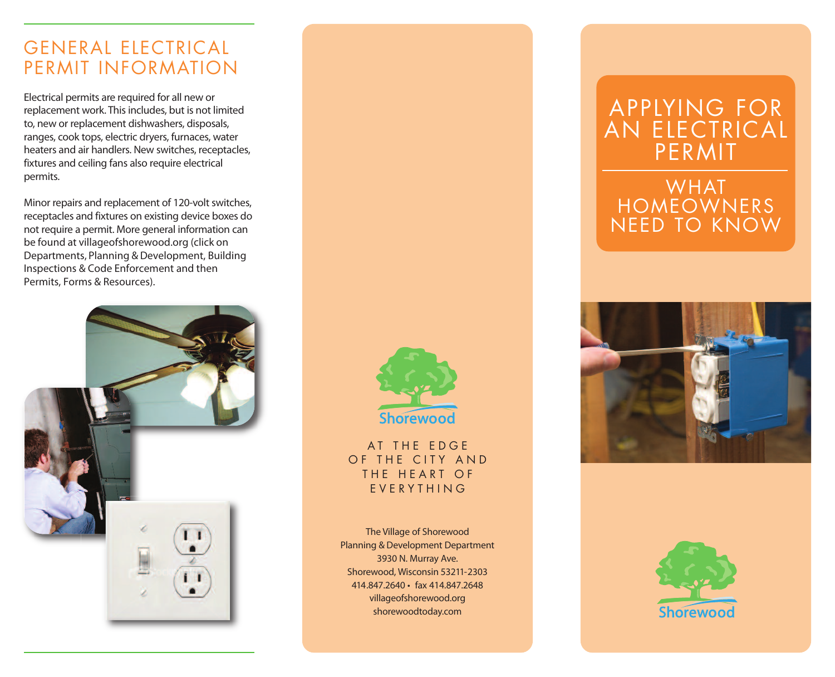## GENERAL ELECTRICAL PERMIT INFORMATION

Electrical permits are required for all new or replacement work. This includes, but is not limited to, new or replacement dishwashers, disposals, ranges, cook tops, electric dryers, furnaces, water heaters and air handlers. New switches, receptacles, fixtures and ceiling fans also require electrical permits.

Minor repairs and replacement of 120-volt switches, receptacles and fixtures on existing device boxes do not require a permit. More general information can be found at villageofshorewood.org (click on Departments, Planning & Development, Building Inspections & Code Enforcement and then Permits, Forms & Resources).





AT THE EDGE OF THE CITY AND THE HEART OF E V E R Y T H I N G

The Village of Shorewood Planning & Development Department 3930 N. Murray Ave. Shorewood, Wisconsin 53211-2303 414.847.2640 • fax 414.847.2648 villageofshorewood.org shorewoodtoday.com

# APPLYING FOR AN ELECTRICAL PERMIT

## WHAT HOMEOWNERS NEED TO KNOW